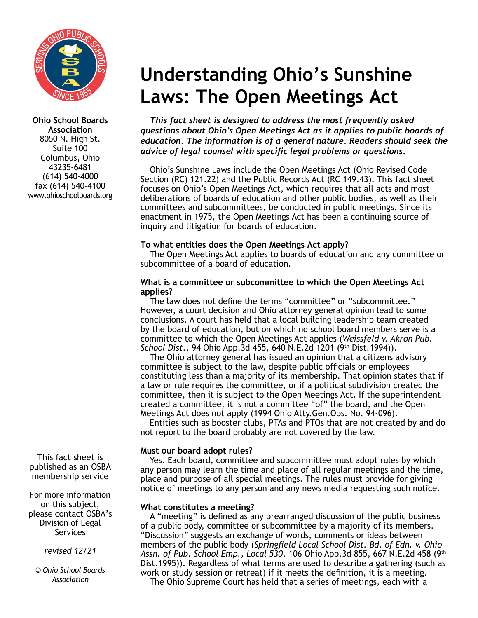

**Ohio School Boards Association** 8050 N. High St. Suite 100 Columbus, Ohio 43235-6481 (614) 540-4000 fax (614) 540-4100 www.ohioschoolboards.org

This fact sheet is published as an OSBA membership service

For more information on this subject, please contact OSBA's Division of Legal Services

*revised 12/21* 

*© Ohio School Boards Association*

# **Understanding Ohio's Sunshine Laws: The Open Meetings Act**

*This fact sheet is designed to address the most frequently asked questions about Ohio's Open Meetings Act as it applies to public boards of education. The information is of a general nature. Readers should seek the advice of legal counsel with specific legal problems or questions.*

Ohio's Sunshine Laws include the Open Meetings Act (Ohio Revised Code Section (RC) 121.22) and the Public Records Act (RC 149.43). This fact sheet focuses on Ohio's Open Meetings Act, which requires that all acts and most deliberations of boards of education and other public bodies, as well as their committees and subcommittees, be conducted in public meetings. Since its enactment in 1975, the Open Meetings Act has been a continuing source of inquiry and litigation for boards of education.

# **To what entities does the Open Meetings Act apply?**

The Open Meetings Act applies to boards of education and any committee or subcommittee of a board of education.

#### **What is a committee or subcommittee to which the Open Meetings Act applies?**

The law does not define the terms "committee" or "subcommittee." However, a court decision and Ohio attorney general opinion lead to some conclusions. A court has held that a local building leadership team created by the board of education, but on which no school board members serve is a committee to which the Open Meetings Act applies (*Weissfeld v. Akron Pub. School Dist.*, 94 Ohio App.3d 455, 640 N.E.2d 1201 (9th Dist.1994)).

The Ohio attorney general has issued an opinion that a citizens advisory committee is subject to the law, despite public officials or employees constituting less than a majority of its membership. That opinion states that if a law or rule requires the committee, or if a political subdivision created the committee, then it is subject to the Open Meetings Act. If the superintendent created a committee, it is not a committee "of" the board, and the Open Meetings Act does not apply (1994 Ohio Atty.Gen.Ops. No. 94-096).

Entities such as booster clubs, PTAs and PTOs that are not created by and do not report to the board probably are not covered by the law.

# **Must our board adopt rules?**

Yes. Each board, committee and subcommittee must adopt rules by which any person may learn the time and place of all regular meetings and the time, place and purpose of all special meetings. The rules must provide for giving notice of meetings to any person and any news media requesting such notice.

# **What constitutes a meeting?**

A "meeting" is defined as any prearranged discussion of the public business of a public body, committee or subcommittee by a majority of its members. "Discussion" suggests an exchange of words, comments or ideas between members of the public body (*Springfield Local School Dist. Bd. of Edn. v. Ohio Assn. of Pub. School Emp., Local 530*, 106 Ohio App.3d 855, 667 N.E.2d 458 (9th Dist.1995)). Regardless of what terms are used to describe a gathering (such as work or study session or retreat) if it meets the definition, it is a meeting. The Ohio Supreme Court has held that a series of meetings, each with a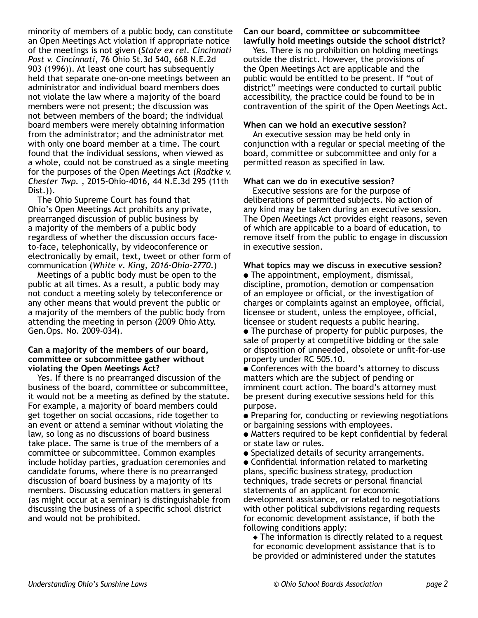minority of members of a public body, can constitute an Open Meetings Act violation if appropriate notice of the meetings is not given (*State ex rel. Cincinnati Post v. Cincinnati*, 76 Ohio St.3d 540, 668 N.E.2d 903 (1996)). At least one court has subsequently held that separate one-on-one meetings between an administrator and individual board members does not violate the law where a majority of the board members were not present; the discussion was not between members of the board; the individual board members were merely obtaining information from the administrator; and the administrator met with only one board member at a time. The court found that the individual sessions, when viewed as a whole, could not be construed as a single meeting for the purposes of the Open Meetings Act (*Radtke v. Chester Twp.* , 2015-Ohio-4016, 44 N.E.3d 295 (11th Dist.)).

The Ohio Supreme Court has found that Ohio's Open Meetings Act prohibits any private, prearranged discussion of public business by a majority of the members of a public body regardless of whether the discussion occurs faceto-face, telephonically, by videoconference or electronically by email, text, tweet or other form of communication (*White v. King, 2016-Ohio-2770*.)

Meetings of a public body must be open to the public at all times. As a result, a public body may not conduct a meeting solely by teleconference or any other means that would prevent the public or a majority of the members of the public body from attending the meeting in person (2009 Ohio Atty. Gen.Ops. No. 2009-034).

#### **Can a majority of the members of our board, committee or subcommittee gather without violating the Open Meetings Act?**

Yes. If there is no prearranged discussion of the business of the board, committee or subcommittee, it would not be a meeting as defined by the statute. For example, a majority of board members could get together on social occasions, ride together to an event or attend a seminar without violating the law, so long as no discussions of board business take place. The same is true of the members of a committee or subcommittee. Common examples include holiday parties, graduation ceremonies and candidate forums, where there is no prearranged discussion of board business by a majority of its members. Discussing education matters in general (as might occur at a seminar) is distinguishable from discussing the business of a specific school district and would not be prohibited.

# **Can our board, committee or subcommittee**

**lawfully hold meetings outside the school district?** Yes. There is no prohibition on holding meetings

outside the district. However, the provisions of the Open Meetings Act are applicable and the public would be entitled to be present. If "out of district" meetings were conducted to curtail public accessibility, the practice could be found to be in contravention of the spirit of the Open Meetings Act.

#### **When can we hold an executive session?**

An executive session may be held only in conjunction with a regular or special meeting of the board, committee or subcommittee and only for a permitted reason as specified in law.

#### **What can we do in executive session?**

Executive sessions are for the purpose of deliberations of permitted subjects. No action of any kind may be taken during an executive session. The Open Meetings Act provides eight reasons, seven of which are applicable to a board of education, to remove itself from the public to engage in discussion in executive session.

#### **What topics may we discuss in executive session?**

 $\bullet$  The appointment, employment, dismissal, discipline, promotion, demotion or compensation of an employee or official, or the investigation of charges or complaints against an employee, official, licensee or student, unless the employee, official, licensee or student requests a public hearing.

- $\bullet$  The purchase of property for public purposes, the sale of property at competitive bidding or the sale or disposition of unneeded, obsolete or unfit-for-use property under RC 505.10.
- Conferences with the board's attorney to discuss matters which are the subject of pending or imminent court action. The board's attorney must be present during executive sessions held for this purpose.

• Preparing for, conducting or reviewing negotiations or bargaining sessions with employees.

- Matters required to be kept confidential by federal or state law or rules.
- Specialized details of security arrangements.

• Confidential information related to marketing plans, specific business strategy, production techniques, trade secrets or personal financial statements of an applicant for economic development assistance, or related to negotiations with other political subdivisions regarding requests for economic development assistance, if both the following conditions apply:

 $\triangle$  The information is directly related to a request for economic development assistance that is to be provided or administered under the statutes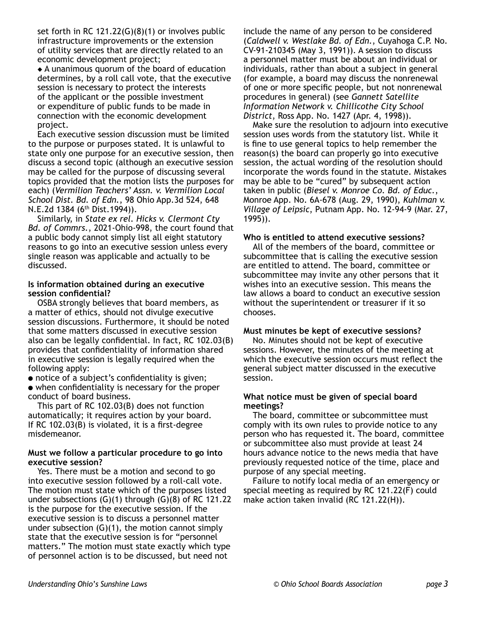set forth in RC 121.22(G)(8)(1) or involves public infrastructure improvements or the extension of utility services that are directly related to an economic development project;

 $\triangle$  A unanimous quorum of the board of education determines, by a roll call vote, that the executive session is necessary to protect the interests of the applicant or the possible investment or expenditure of public funds to be made in connection with the economic development project.

Each executive session discussion must be limited to the purpose or purposes stated. It is unlawful to state only one purpose for an executive session, then discuss a second topic (although an executive session may be called for the purpose of discussing several topics provided that the motion lists the purposes for each) (*Vermilion Teachers' Assn. v. Vermilion Local School Dist. Bd. of Edn.*, 98 Ohio App.3d 524, 648 N.E.2d 1384 (6<sup>th</sup> Dist.1994)).

Similarly, in *State ex rel. Hicks v. Clermont Cty Bd. of Commrs.*, 2021-Ohio-998, the court found that a public body cannot simply list all eight statutory reasons to go into an executive session unless every single reason was applicable and actually to be discussed.

#### **Is information obtained during an executive session confidential?**

OSBA strongly believes that board members, as a matter of ethics, should not divulge executive session discussions. Furthermore, it should be noted that some matters discussed in executive session also can be legally confidential. In fact, RC 102.03(B) provides that confidentiality of information shared in executive session is legally required when the following apply:

• notice of a subject's confidentiality is given;  $\bullet$  when confidentiality is necessary for the proper conduct of board business.

This part of RC 102.03(B) does not function automatically; it requires action by your board. If RC 102.03(B) is violated, it is a first-degree misdemeanor.

#### **Must we follow a particular procedure to go into executive session?**

Yes. There must be a motion and second to go into executive session followed by a roll-call vote. The motion must state which of the purposes listed under subsections (G)(1) through (G)(8) of RC 121.22 is the purpose for the executive session. If the executive session is to discuss a personnel matter under subsection  $(G)(1)$ , the motion cannot simply state that the executive session is for "personnel matters." The motion must state exactly which type of personnel action is to be discussed, but need not

include the name of any person to be considered (*Caldwell v. Westlake Bd. of Edn.*, Cuyahoga C.P. No. CV-91-210345 (May 3, 1991)). A session to discuss a personnel matter must be about an individual or individuals, rather than about a subject in general (for example, a board may discuss the nonrenewal of one or more specific people, but not nonrenewal procedures in general) (see *Gannett Satellite Information Network v. Chillicothe City School District*, Ross App. No. 1427 (Apr. 4, 1998)).

Make sure the resolution to adjourn into executive session uses words from the statutory list. While it is fine to use general topics to help remember the reason(s) the board can properly go into executive session, the actual wording of the resolution should incorporate the words found in the statute. Mistakes may be able to be "cured" by subsequent action taken in public (*Biesel v. Monroe Co. Bd. of Educ.*, Monroe App. No. 6A-678 (Aug. 29, 1990), *Kuhlman v. Village of Leipsic*, Putnam App. No. 12-94-9 (Mar. 27, 1995)).

#### **Who is entitled to attend executive sessions?**

All of the members of the board, committee or subcommittee that is calling the executive session are entitled to attend. The board, committee or subcommittee may invite any other persons that it wishes into an executive session. This means the law allows a board to conduct an executive session without the superintendent or treasurer if it so chooses.

#### **Must minutes be kept of executive sessions?**

No. Minutes should not be kept of executive sessions. However, the minutes of the meeting at which the executive session occurs must reflect the general subject matter discussed in the executive session.

#### **What notice must be given of special board meetings?**

The board, committee or subcommittee must comply with its own rules to provide notice to any person who has requested it. The board, committee or subcommittee also must provide at least 24 hours advance notice to the news media that have previously requested notice of the time, place and purpose of any special meeting.

Failure to notify local media of an emergency or special meeting as required by RC 121.22(F) could make action taken invalid (RC 121.22(H)).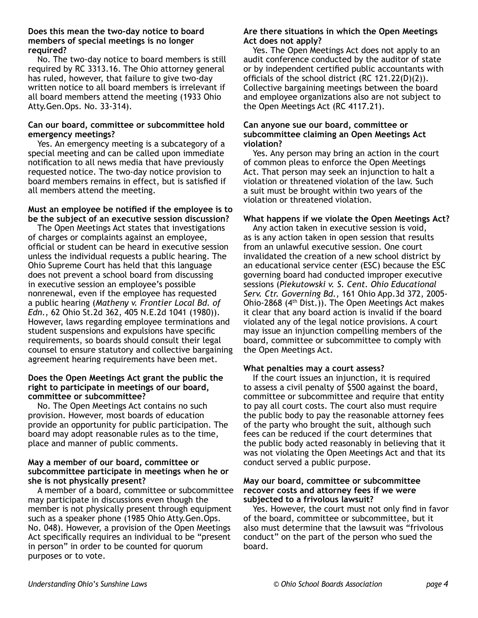#### **Does this mean the two-day notice to board members of special meetings is no longer required?**

No. The two-day notice to board members is still required by RC 3313.16. The Ohio attorney general has ruled, however, that failure to give two-day written notice to all board members is irrelevant if all board members attend the meeting (1933 Ohio Atty.Gen.Ops. No. 33-314).

#### **Can our board, committee or subcommittee hold emergency meetings?**

Yes. An emergency meeting is a subcategory of a special meeting and can be called upon immediate notification to all news media that have previously requested notice. The two-day notice provision to board members remains in effect, but is satisfied if all members attend the meeting.

#### **Must an employee be notified if the employee is to be the subject of an executive session discussion?**

The Open Meetings Act states that investigations of charges or complaints against an employee, official or student can be heard in executive session unless the individual requests a public hearing. The Ohio Supreme Court has held that this language does not prevent a school board from discussing in executive session an employee's possible nonrenewal, even if the employee has requested a public hearing (*Matheny v. Frontier Local Bd. of Edn.*, 62 Ohio St.2d 362, 405 N.E.2d 1041 (1980)). However, laws regarding employee terminations and student suspensions and expulsions have specific requirements, so boards should consult their legal counsel to ensure statutory and collective bargaining agreement hearing requirements have been met.

#### **Does the Open Meetings Act grant the public the right to participate in meetings of our board, committee or subcommittee?**

No. The Open Meetings Act contains no such provision. However, most boards of education provide an opportunity for public participation. The board may adopt reasonable rules as to the time, place and manner of public comments.

#### **May a member of our board, committee or subcommittee participate in meetings when he or she is not physically present?**

A member of a board, committee or subcommittee may participate in discussions even though the member is not physically present through equipment such as a speaker phone (1985 Ohio Atty.Gen.Ops. No. 048). However, a provision of the Open Meetings Act specifically requires an individual to be "present in person" in order to be counted for quorum purposes or to vote.

# **Are there situations in which the Open Meetings Act does not apply?**

Yes. The Open Meetings Act does not apply to an audit conference conducted by the auditor of state or by independent certified public accountants with officials of the school district (RC 121.22(D)(2)). Collective bargaining meetings between the board and employee organizations also are not subject to the Open Meetings Act (RC 4117.21).

#### **Can anyone sue our board, committee or subcommittee claiming an Open Meetings Act violation?**

Yes. Any person may bring an action in the court of common pleas to enforce the Open Meetings Act. That person may seek an injunction to halt a violation or threatened violation of the law. Such a suit must be brought within two years of the violation or threatened violation.

# **What happens if we violate the Open Meetings Act?**

Any action taken in executive session is void, as is any action taken in open session that results from an unlawful executive session. One court invalidated the creation of a new school district by an educational service center (ESC) because the ESC governing board had conducted improper executive sessions (*Piekutowski v. S. Cent. Ohio Educational Serv. Ctr. Governing Bd.*, 161 Ohio App.3d 372, 2005- Ohio-2868  $(4<sup>th</sup> Dist.))$ . The Open Meetings Act makes it clear that any board action is invalid if the board violated any of the legal notice provisions. A court may issue an injunction compelling members of the board, committee or subcommittee to comply with the Open Meetings Act.

#### **What penalties may a court assess?**

If the court issues an injunction, it is required to assess a civil penalty of \$500 against the board, committee or subcommittee and require that entity to pay all court costs. The court also must require the public body to pay the reasonable attorney fees of the party who brought the suit, although such fees can be reduced if the court determines that the public body acted reasonably in believing that it was not violating the Open Meetings Act and that its conduct served a public purpose.

#### **May our board, committee or subcommittee recover costs and attorney fees if we were subjected to a frivolous lawsuit?**

Yes. However, the court must not only find in favor of the board, committee or subcommittee, but it also must determine that the lawsuit was "frivolous conduct" on the part of the person who sued the board.